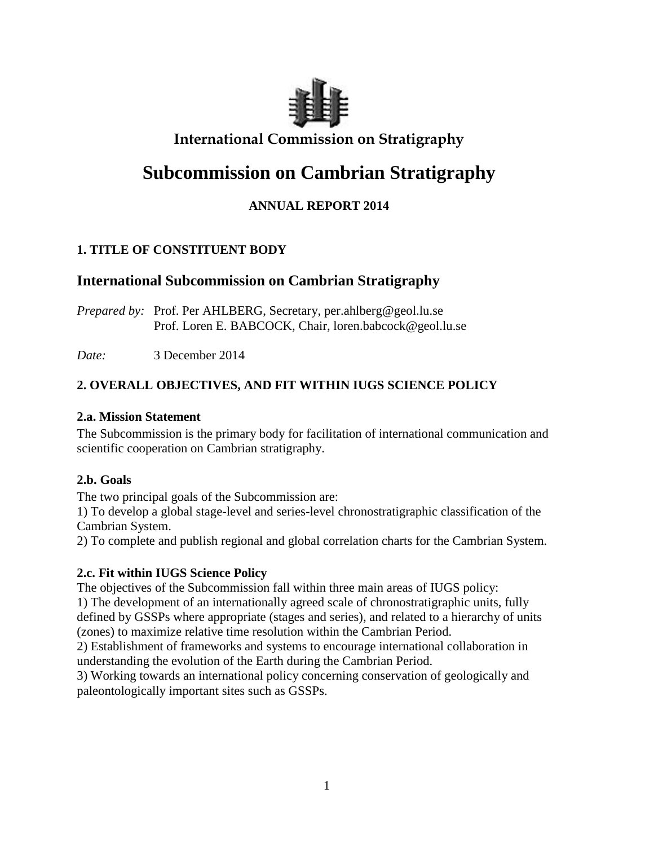

# **International Commission on Stratigraphy**

# **Subcommission on Cambrian Stratigraphy**

# **ANNUAL REPORT 2014**

# **1. TITLE OF CONSTITUENT BODY**

# **International Subcommission on Cambrian Stratigraphy**

*Prepared by:* Prof. Per AHLBERG, Secretary, per.ahlberg@geol.lu.se Prof. Loren E. BABCOCK, Chair, loren.babcock@geol.lu.se

*Date:* 3 December 2014

# **2. OVERALL OBJECTIVES, AND FIT WITHIN IUGS SCIENCE POLICY**

## **2.a. Mission Statement**

The Subcommission is the primary body for facilitation of international communication and scientific cooperation on Cambrian stratigraphy.

# **2.b. Goals**

The two principal goals of the Subcommission are:

1) To develop a global stage-level and series-level chronostratigraphic classification of the Cambrian System.

2) To complete and publish regional and global correlation charts for the Cambrian System.

# **2.c. Fit within IUGS Science Policy**

The objectives of the Subcommission fall within three main areas of IUGS policy:

1) The development of an internationally agreed scale of chronostratigraphic units, fully defined by GSSPs where appropriate (stages and series), and related to a hierarchy of units (zones) to maximize relative time resolution within the Cambrian Period.

2) Establishment of frameworks and systems to encourage international collaboration in understanding the evolution of the Earth during the Cambrian Period.

3) Working towards an international policy concerning conservation of geologically and paleontologically important sites such as GSSPs.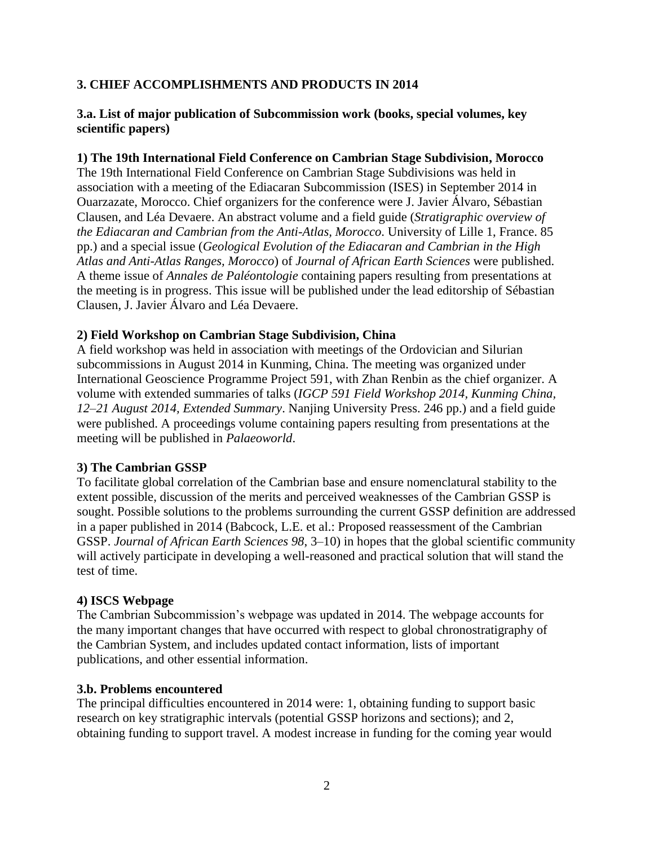# **3. CHIEF ACCOMPLISHMENTS AND PRODUCTS IN 2014**

## **3.a. List of major publication of Subcommission work (books, special volumes, key scientific papers)**

#### **1) The 19th International Field Conference on Cambrian Stage Subdivision, Morocco**

The 19th International Field Conference on Cambrian Stage Subdivisions was held in association with a meeting of the Ediacaran Subcommission (ISES) in September 2014 in Ouarzazate, Morocco. Chief organizers for the conference were J. Javier Álvaro, Sébastian Clausen, and Léa Devaere. An abstract volume and a field guide (*Stratigraphic overview of the Ediacaran and Cambrian from the Anti-Atlas, Morocco*. University of Lille 1, France. 85 pp.) and a special issue (*Geological Evolution of the Ediacaran and Cambrian in the High Atlas and Anti-Atlas Ranges, Morocco*) of *Journal of African Earth Sciences* were published. A theme issue of *Annales de Paléontologie* containing papers resulting from presentations at the meeting is in progress. This issue will be published under the lead editorship of Sébastian Clausen, J. Javier Álvaro and Léa Devaere.

## **2) Field Workshop on Cambrian Stage Subdivision, China**

A field workshop was held in association with meetings of the Ordovician and Silurian subcommissions in August 2014 in Kunming, China. The meeting was organized under International Geoscience Programme Project 591, with Zhan Renbin as the chief organizer. A volume with extended summaries of talks (*IGCP 591 Field Workshop 2014, Kunming China, 12*–*21 August 2014, Extended Summary*. Nanjing University Press. 246 pp.) and a field guide were published. A proceedings volume containing papers resulting from presentations at the meeting will be published in *Palaeoworld*.

#### **3) The Cambrian GSSP**

To facilitate global correlation of the Cambrian base and ensure nomenclatural stability to the extent possible, discussion of the merits and perceived weaknesses of the Cambrian GSSP is sought. Possible solutions to the problems surrounding the current GSSP definition are addressed in a paper published in 2014 (Babcock, L.E. et al.: Proposed reassessment of the Cambrian GSSP. *Journal of African Earth Sciences 98*, 3–10) in hopes that the global scientific community will actively participate in developing a well-reasoned and practical solution that will stand the test of time.

# **4) ISCS Webpage**

The Cambrian Subcommission's webpage was updated in 2014. The webpage accounts for the many important changes that have occurred with respect to global chronostratigraphy of the Cambrian System, and includes updated contact information, lists of important publications, and other essential information.

#### **3.b. Problems encountered**

The principal difficulties encountered in 2014 were: 1, obtaining funding to support basic research on key stratigraphic intervals (potential GSSP horizons and sections); and 2, obtaining funding to support travel. A modest increase in funding for the coming year would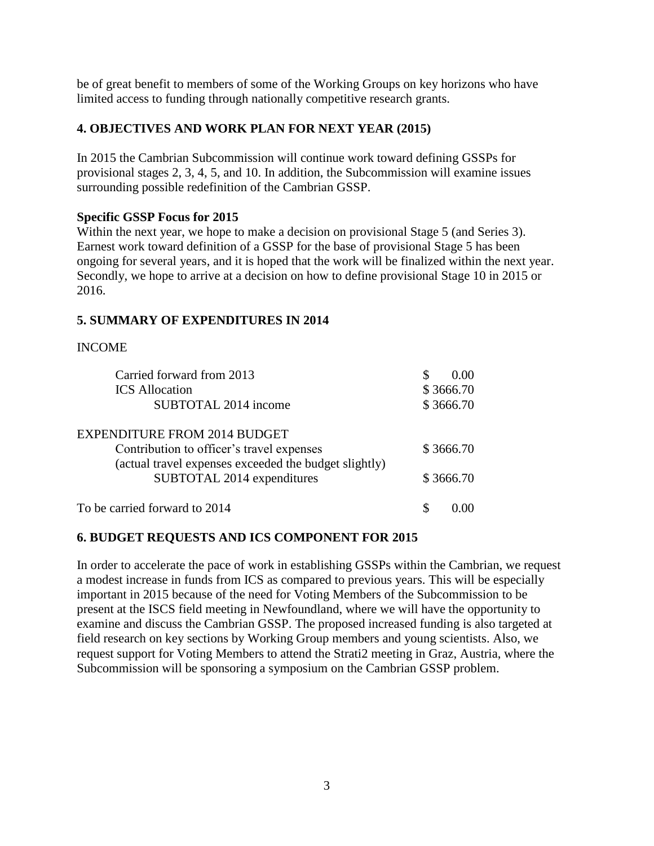be of great benefit to members of some of the Working Groups on key horizons who have limited access to funding through nationally competitive research grants.

# **4. OBJECTIVES AND WORK PLAN FOR NEXT YEAR (2015)**

In 2015 the Cambrian Subcommission will continue work toward defining GSSPs for provisional stages 2, 3, 4, 5, and 10. In addition, the Subcommission will examine issues surrounding possible redefinition of the Cambrian GSSP.

## **Specific GSSP Focus for 2015**

Within the next year, we hope to make a decision on provisional Stage 5 (and Series 3). Earnest work toward definition of a GSSP for the base of provisional Stage 5 has been ongoing for several years, and it is hoped that the work will be finalized within the next year. Secondly, we hope to arrive at a decision on how to define provisional Stage 10 in 2015 or 2016.

## **5. SUMMARY OF EXPENDITURES IN 2014**

## INCOME

| Carried forward from 2013                                                                          | 0.00      |
|----------------------------------------------------------------------------------------------------|-----------|
| <b>ICS</b> Allocation                                                                              | \$3666.70 |
| SUBTOTAL 2014 income                                                                               | \$3666.70 |
| <b>EXPENDITURE FROM 2014 BUDGET</b>                                                                |           |
| Contribution to officer's travel expenses<br>(actual travel expenses exceeded the budget slightly) | \$3666.70 |
| SUBTOTAL 2014 expenditures                                                                         | \$3666.70 |
| To be carried forward to 2014                                                                      |           |

# **6. BUDGET REQUESTS AND ICS COMPONENT FOR 2015**

In order to accelerate the pace of work in establishing GSSPs within the Cambrian, we request a modest increase in funds from ICS as compared to previous years. This will be especially important in 2015 because of the need for Voting Members of the Subcommission to be present at the ISCS field meeting in Newfoundland, where we will have the opportunity to examine and discuss the Cambrian GSSP. The proposed increased funding is also targeted at field research on key sections by Working Group members and young scientists. Also, we request support for Voting Members to attend the Strati2 meeting in Graz, Austria, where the Subcommission will be sponsoring a symposium on the Cambrian GSSP problem.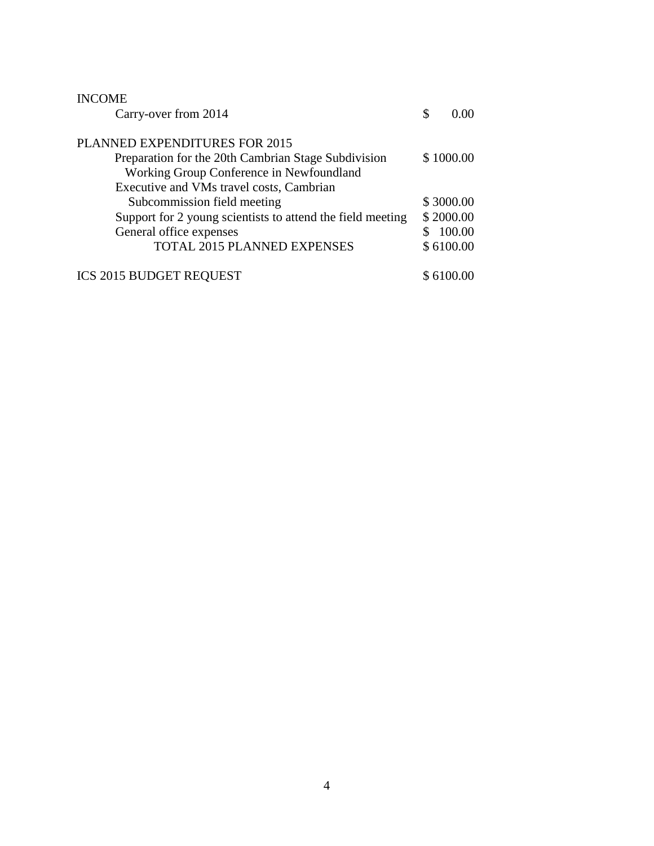| <b>INCOME</b>                                              |            |
|------------------------------------------------------------|------------|
| Carry-over from 2014                                       | \$<br>0.00 |
| PLANNED EXPENDITURES FOR 2015                              |            |
| Preparation for the 20th Cambrian Stage Subdivision        | \$1000.00  |
| Working Group Conference in Newfoundland                   |            |
| Executive and VMs travel costs, Cambrian                   |            |
| Subcommission field meeting                                | \$3000.00  |
| Support for 2 young scientists to attend the field meeting | \$2000.00  |
| General office expenses                                    | 100.00     |
| TOTAL 2015 PLANNED EXPENSES                                | \$6100.00  |
| <b>ICS 2015 BUDGET REQUEST</b>                             | \$6100.00  |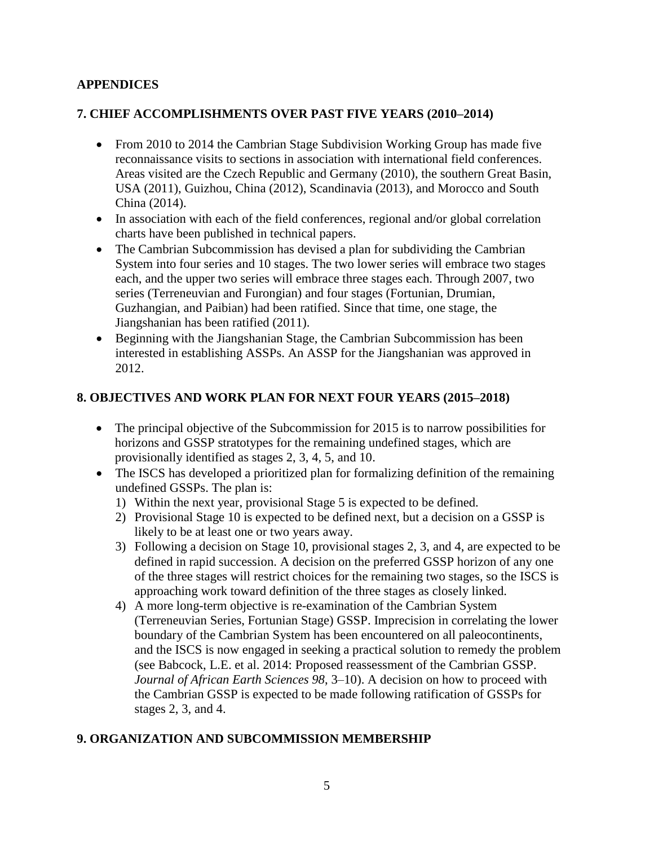# **APPENDICES**

# **7. CHIEF ACCOMPLISHMENTS OVER PAST FIVE YEARS (2010–2014)**

- From 2010 to 2014 the Cambrian Stage Subdivision Working Group has made five reconnaissance visits to sections in association with international field conferences. Areas visited are the Czech Republic and Germany (2010), the southern Great Basin, USA (2011), Guizhou, China (2012), Scandinavia (2013), and Morocco and South China (2014).
- In association with each of the field conferences, regional and/or global correlation charts have been published in technical papers.
- The Cambrian Subcommission has devised a plan for subdividing the Cambrian System into four series and 10 stages. The two lower series will embrace two stages each, and the upper two series will embrace three stages each. Through 2007, two series (Terreneuvian and Furongian) and four stages (Fortunian, Drumian, Guzhangian, and Paibian) had been ratified. Since that time, one stage, the Jiangshanian has been ratified (2011).
- Beginning with the Jiangshanian Stage, the Cambrian Subcommission has been interested in establishing ASSPs. An ASSP for the Jiangshanian was approved in 2012.

# **8. OBJECTIVES AND WORK PLAN FOR NEXT FOUR YEARS (2015–2018)**

- The principal objective of the Subcommission for 2015 is to narrow possibilities for horizons and GSSP stratotypes for the remaining undefined stages, which are provisionally identified as stages 2, 3, 4, 5, and 10.
- The ISCS has developed a prioritized plan for formalizing definition of the remaining undefined GSSPs. The plan is:
	- 1) Within the next year, provisional Stage 5 is expected to be defined.
	- 2) Provisional Stage 10 is expected to be defined next, but a decision on a GSSP is likely to be at least one or two years away.
	- 3) Following a decision on Stage 10, provisional stages 2, 3, and 4, are expected to be defined in rapid succession. A decision on the preferred GSSP horizon of any one of the three stages will restrict choices for the remaining two stages, so the ISCS is approaching work toward definition of the three stages as closely linked.
	- 4) A more long-term objective is re-examination of the Cambrian System (Terreneuvian Series, Fortunian Stage) GSSP. Imprecision in correlating the lower boundary of the Cambrian System has been encountered on all paleocontinents, and the ISCS is now engaged in seeking a practical solution to remedy the problem (see Babcock, L.E. et al. 2014: Proposed reassessment of the Cambrian GSSP. *Journal of African Earth Sciences 98*, 3–10). A decision on how to proceed with the Cambrian GSSP is expected to be made following ratification of GSSPs for stages 2, 3, and 4.

# **9. ORGANIZATION AND SUBCOMMISSION MEMBERSHIP**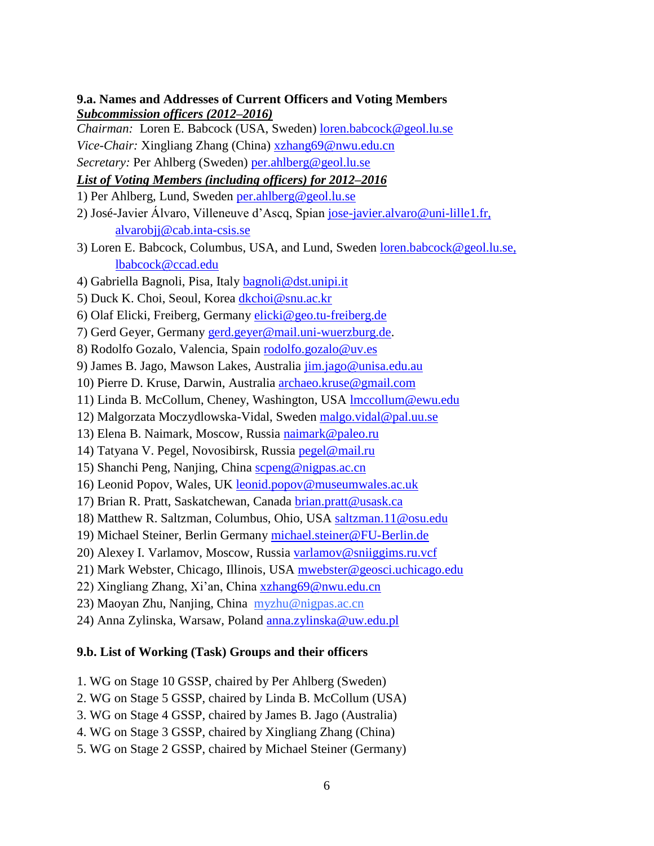**9.a. Names and Addresses of Current Officers and Voting Members** *Subcommission officers (2012–2016)*

*Chairman:*Loren E. Babcock (USA, Sweden) [loren.babcock@geol.lu.se](mailto:loren.babcock@geol.lu.se) *Vice-Chair:* Xingliang Zhang (China) [xzhang69@nwu.edu.cn](mailto:xzhang69@nwu.edu.cn) *Secretary:* Per Ahlberg (Sweden) [per.ahlberg@geol.lu.se](mailto:per.ahlberg@geol.lu.se)

# *List of Voting Members (including officers) for 2012–2016*

1) Per Ahlberg, Lund, Sweden [per.ahlberg@geol.lu.se](mailto:per.ahlberg@geol.lu.se)

- 2) José-Javier Álvaro, Villeneuve d'Ascq, Spian [jose-javier.alvaro@uni-lille1.fr,](mailto:jose-javier.alvaro@uni-lille1.fr) alvarobjj@cab.inta-csis.se
- 3) Loren E. Babcock, Columbus, USA, and Lund, Sweden [loren.babcock@geol.lu.se,](mailto:loren.babcock@geol.lu.se) lbabcock@ccad.edu
- 4) Gabriella Bagnoli, Pisa, Italy [bagnoli@dst.unipi.it](mailto:bagnoli@dst.unipi.it)
- 5) Duck K. Choi, Seoul, Korea [dkchoi@snu.ac.kr](mailto:dkchoi@snu.ac.kr)
- 6) Olaf Elicki, Freiberg, Germany [elicki@geo.tu-freiberg.de](mailto:elicki@geo.tu-freiberg.de)
- 7) Gerd Geyer, Germany [gerd.geyer@mail.uni-wuerzburg.de.](mailto:gerd.geyer@mail.uni-wuerzburg.de)
- 8) Rodolfo Gozalo, Valencia, Spain [rodolfo.gozalo@uv.es](mailto:rodolfo.gozalo@uv.es)
- 9) James B. Jago, Mawson Lakes, Australia [jim.jago@unisa.edu.au](mailto:jim.jago@unisa.edu.au)
- 10) Pierre D. Kruse, Darwin, Australia [archaeo.kruse@gmail.com](mailto:archaeo.kruse@gmail.com)
- 11) Linda B. McCollum, Cheney, Washington, USA [lmccollum@ewu.edu](mailto:lmccollum@ewu.edu)
- 12) Malgorzata Moczydlowska-Vidal, Sweden [malgo.vidal@pal.uu.se](mailto:malgo.vidal@pal.uu.se)
- 13) Elena B. Naimark, Moscow, Russia [naimark@paleo.ru](mailto:naimark@paleo.ru)
- 14) Tatyana V. Pegel, Novosibirsk, Russia [pegel@mail.ru](mailto:pegel@mail.ru)
- 15) Shanchi Peng, Nanjing, China [scpeng@nigpas.ac.cn](mailto:scpeng@nigpas.ac.cn)
- 16) Leonid Popov, Wales, UK leonid.popov@museumwales.ac.uk
- 17) Brian R. Pratt, Saskatchewan, Canada [brian.pratt@usask.ca](mailto:brian.pratt@usask.ca)
- 18) Matthew R. Saltzman, Columbus, Ohio, USA [saltzman.11@osu.edu](mailto:saltzman.11@osu.edu)
- 19) Michael Steiner, Berlin Germany [michael.steiner@FU-Berlin.de](mailto:michael.steiner@FU-Berlin.de)
- 20) Alexey I. Varlamov, Moscow, Russia [varlamov@sniiggims.ru.vcf](mailto:varlamov@sniiggims.ru.vcf)
- 21) Mark Webster, Chicago, Illinois, USA [mwebster@geosci.uchicago.edu](mailto:mwebster@geosci.uchicago.edu)
- 22) Xingliang Zhang, Xi'an, China [xzhang69@nwu.edu.cn](mailto:xzhang69@nwu.edu.cn)
- 23) Maoyan Zhu, Nanjing, China [myzhu@nigpas.ac.cn](mailto:myzhu@nigpas.ac.cn)
- 24) Anna Zylinska, Warsaw, Poland [anna.zylinska@uw.edu.pl](mailto:anna.zylinska@uw.edu.pl)

#### **9.b. List of Working (Task) Groups and their officers**

- 1. WG on Stage 10 GSSP, chaired by Per Ahlberg (Sweden)
- 2. WG on Stage 5 GSSP, chaired by Linda B. McCollum (USA)
- 3. WG on Stage 4 GSSP, chaired by James B. Jago (Australia)
- 4. WG on Stage 3 GSSP, chaired by Xingliang Zhang (China)
- 5. WG on Stage 2 GSSP, chaired by Michael Steiner (Germany)